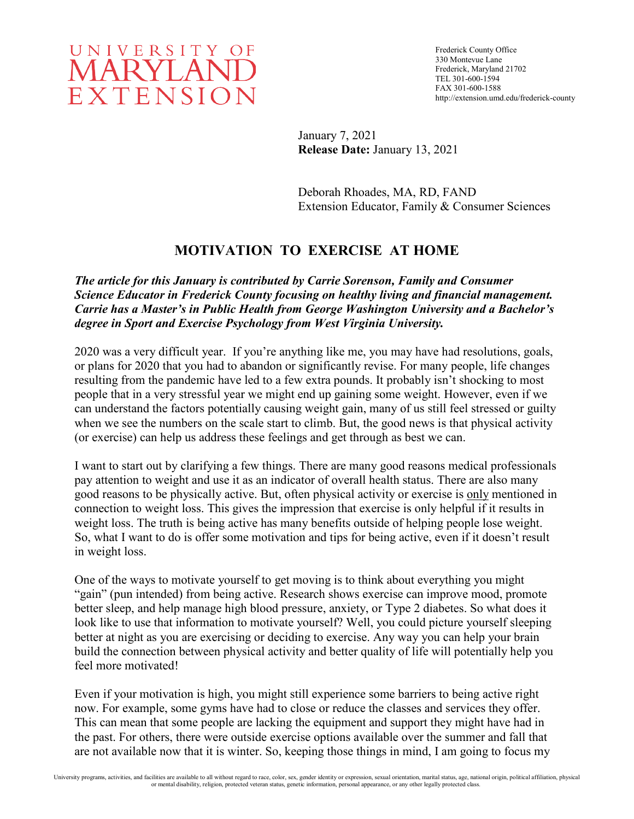

Frederick County Office 330 Montevue Lane Frederick, Maryland 21702 TEL 301-600-1594 FAX 301-600-1588 http://extension.umd.edu/frederick-county

January 7, 2021 **Release Date:** January 13, 2021

Deborah Rhoades, MA, RD, FAND Extension Educator, Family & Consumer Sciences

## **MOTIVATION TO EXERCISE AT HOME**

*The article for this January is contributed by Carrie Sorenson, Family and Consumer Science Educator in Frederick County focusing on healthy living and financial management. Carrie has a Master's in Public Health from George Washington University and a Bachelor's degree in Sport and Exercise Psychology from West Virginia University.* 

2020 was a very difficult year. If you're anything like me, you may have had resolutions, goals, or plans for 2020 that you had to abandon or significantly revise. For many people, life changes resulting from the pandemic have led to a few extra pounds. It probably isn't shocking to most people that in a very stressful year we might end up gaining some weight. However, even if we can understand the factors potentially causing weight gain, many of us still feel stressed or guilty when we see the numbers on the scale start to climb. But, the good news is that physical activity (or exercise) can help us address these feelings and get through as best we can.

I want to start out by clarifying a few things. There are many good reasons medical professionals pay attention to weight and use it as an indicator of overall health status. There are also many good reasons to be physically active. But, often physical activity or exercise is only mentioned in connection to weight loss. This gives the impression that exercise is only helpful if it results in weight loss. The truth is being active has many benefits outside of helping people lose weight. So, what I want to do is offer some motivation and tips for being active, even if it doesn't result in weight loss.

One of the ways to motivate yourself to get moving is to think about everything you might "gain" (pun intended) from being active. Research shows exercise can improve mood, promote better sleep, and help manage high blood pressure, anxiety, or Type 2 diabetes. So what does it look like to use that information to motivate yourself? Well, you could picture yourself sleeping better at night as you are exercising or deciding to exercise. Any way you can help your brain build the connection between physical activity and better quality of life will potentially help you feel more motivated!

Even if your motivation is high, you might still experience some barriers to being active right now. For example, some gyms have had to close or reduce the classes and services they offer. This can mean that some people are lacking the equipment and support they might have had in the past. For others, there were outside exercise options available over the summer and fall that are not available now that it is winter. So, keeping those things in mind, I am going to focus my